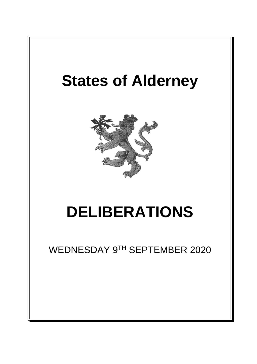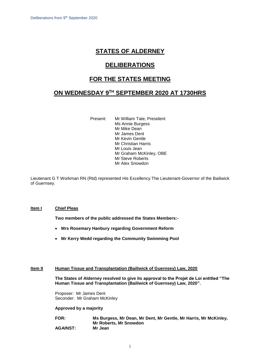# **STATES OF ALDERNEY**

# **DELIBERATIONS**

# **FOR THE STATES MEETING**

# **ON WEDNESDAY 9 TH SEPTEMBER 2020 AT 1730HRS**

Present: Mr William Tate, President Ms Annie Burgess Mr Mike Dean Mr James Dent Mr Kevin Gentle Mr Christian Harris Mr Louis Jean Mr Graham McKinley, OBE Mr Steve Roberts Mr Alex Snowdon

Lieutenant G T Workman RN (Rtd) represented His Excellency The Lieutenant-Governor of the Bailiwick of Guernsey.

# **Item I Chief Pleas**

**Two members of the public addressed the States Members:-**

- **Mrs Rosemary Hanbury regarding Government Reform**
- **Mr Kerry Wedd regarding the Community Swimming Pool**

# **Item II Human Tissue and Transplantation (Bailiwick of Guernsey) Law, 2020**

**The States of Alderney resolved to give its approval to the Projet de Loi entitled "The Human Tissue and Transplantation (Bailiwick of Guernsey) Law, 2020".**

Proposer: Mr James Dent Seconder: Mr Graham McKinley

**Approved by a majority**

| <b>FOR:</b>     | Ms Burgess, Mr Dean, Mr Dent, Mr Gentle, Mr Harris, Mr McKinley, |
|-----------------|------------------------------------------------------------------|
|                 | <b>Mr Roberts, Mr Snowdon</b>                                    |
| <b>AGAINST:</b> | Mr Jean                                                          |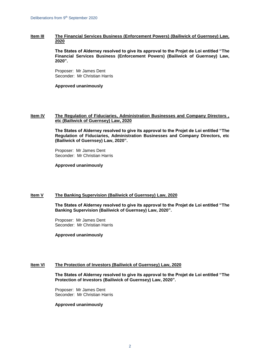# **Item III The Financial Services Business (Enforcement Powers) (Bailiwick of Guernsey) Law, 2020**

**The States of Alderney resolved to give its approval to the Projet de Loi entitled "The Financial Services Business (Enforcement Powers) (Bailiwick of Guernsey) Law, 2020".**

Proposer: Mr James Dent Seconder: Mr Christian Harris

## **Approved unanimously**

# **Item IV The Regulation of Fiduciaries, Administration Businesses and Company Directors , etc (Bailiwick of Guernsey) Law, 2020**

**The States of Alderney resolved to give its approval to the Projet de Loi entitled "The Regulation of Fiduciaries, Administration Businesses and Company Directors, etc (Bailiwick of Guernsey) Law, 2020".**

Proposer: Mr James Dent Seconder: Mr Christian Harris

**Approved unanimously**

# **Item V The Banking Supervision (Bailiwick of Guernsey) Law, 2020**

**The States of Alderney resolved to give its approval to the Projet de Loi entitled "The Banking Supervision (Bailiwick of Guernsey) Law, 2020".**

Proposer: Mr James Dent Seconder: Mr Christian Harris

**Approved unanimously**

## **Item VI The Protection of Investors (Bailiwick of Guernsey) Law, 2020**

**The States of Alderney resolved to give its approval to the Projet de Loi entitled "The Protection of Investors (Bailiwick of Guernsey) Law, 2020".**

Proposer: Mr James Dent Seconder: Mr Christian Harris

#### **Approved unanimously**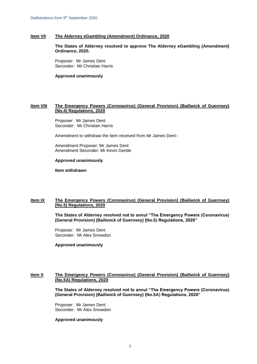# **Item VII The Alderney eGambling (Amendment) Ordinance, 2020**

**The States of Alderney resolved to approve The Alderney eGambling (Amendment) Ordinance, 2020.**

Proposer: Mr James Dent Seconder: Mr Christian Harris

**Approved unanimously**

## **Item VIII The Emergency Powers (Coronavirus) (General Provision) (Bailiwick of Guernsey) (No.4) Regulations, 2020**

Proposer: Mr James Dent Seconder: Mr Christian Harris

Amendment to withdraw the item received from Mr James Dent:-

Amendment Proposer: Mr James Dent Amendment Seconder: Mr Kevin Gentle

## **Approved unanimously**

**Item withdrawn**

## **Item IX The Emergency Powers (Coronavirus) (General Provision) (Bailiwick of Guernsey) (No.5) Regulations, 2020**

**The States of Alderney resolved not to annul "The Emergency Powers (Coronavirus) (General Provision) (Bailiwick of Guernsey) (No.5) Regulations, 2020"** 

Proposer: Mr James Dent Seconder: Mr Alex Snowdon

**Approved unanimously**

# **Item X The Emergency Powers (Coronavirus) (General Provision) (Bailiwick of Guernsey) (No.5A) Regulations, 2020**

**The States of Alderney resolved not to annul "The Emergency Powers (Coronavirus) (General Provision) (Bailiwick of Guernsey) (No.5A) Regulations, 2020"** 

Proposer: Mr James Dent Seconder: Mr Alex Snowdon

#### **Approved unanimously**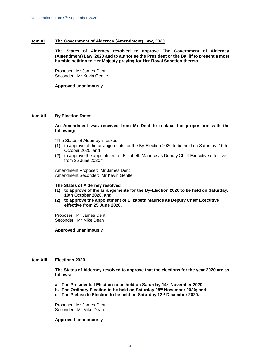# **Item XI The Government of Alderney (Amendment) Law, 2020**

**The States of Alderney resolved to approve The Government of Alderney (Amendment) Law, 2020 and to authorise the President or the Bailiff to present a most humble petition to Her Majesty praying for Her Royal Sanction thereto.** 

Proposer: Mr James Dent Seconder: Mr Kevin Gentle

**Approved unanimously**

## **Item XII By Election Dates**

**An Amendment was received from Mr Dent to replace the proposition with the following:-**

"The States of Alderney is asked

- **(1)** to approve of the arrangements for the By-Election 2020 to be held on Saturday, 10th October 2020, and
- **(2)** to approve the appointment of Elizabeth Maurice as Deputy Chief Executive effective from 25 June 2020."

Amendment Proposer: Mr James Dent Amendment Seconder: Mr Kevin Gentle

#### **The States of Alderney resolved**

- **(1) to approve of the arrangements for the By-Election 2020 to be held on Saturday, 10th October 2020, and**
- **(2) to approve the appointment of Elizabeth Maurice as Deputy Chief Executive effective from 25 June 2020.**

Proposer: Mr James Dent Seconder: Mr Mike Dean

## **Approved unanimously**

## **Item XIII Elections 2020**

**The States of Alderney resolved to approve that the elections for the year 2020 are as follows:-**

- **a. The Presidential Election to be held on Saturday 14th November 2020;**
- **b. The Ordinary Election to be held on Saturday 28th November 2020; and**
- **c. The Plebiscite Election to be held on Saturday 12th December 2020.**

Proposer: Mr James Dent Seconder: Mr Mike Dean

#### **Approved unanimously**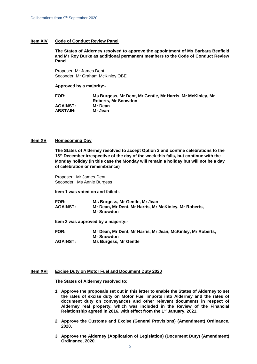# **Item XIV Code of Conduct Review Panel**

**The States of Alderney resolved to approve the appointment of Ms Barbara Benfield and Mr Roy Burke as additional permanent members to the Code of Conduct Review Panel.**

Proposer: Mr James Dent Seconder: Mr Graham McKinley OBE

## **Approved by a majority:-**

**FOR: Ms Burgess, Mr Dent, Mr Gentle, Mr Harris, Mr McKinley, Mr Roberts, Mr Snowdon AGAINST: Mr Dean ABSTAIN: Mr Jean** 

## **Item XV Homecoming Day**

**The States of Alderney resolved to accept Option 2 and confine celebrations to the 15th December irrespective of the day of the week this falls, but continue with the Monday holiday (in this case the Monday will remain a holiday but will not be a day of celebration or remembrance)**

Proposer: Mr James Dent Seconder: Ms Annie Burgess

**Item 1 was voted on and failed:-**

| <b>FOR:</b>     | Ms Burgess, Mr Gentle, Mr Jean                        |
|-----------------|-------------------------------------------------------|
| <b>AGAINST:</b> | Mr Dean, Mr Dent, Mr Harris, Mr McKinley, Mr Roberts, |
|                 | <b>Mr Snowdon</b>                                     |

**Item 2 was approved by a majority:-**

**FOR: Mr Dean, Mr Dent, Mr Harris, Mr Jean, McKinley, Mr Roberts, Mr Snowdon AGAINST: Ms Burgess, Mr Gentle** 

#### **Item XVI Excise Duty on Motor Fuel and Document Duty 2020**

**The States of Alderney resolved to:** 

- **1. Approve the proposals set out in this letter to enable the States of Alderney to set the rates of excise duty on Motor Fuel imports into Alderney and the rates of document duty on conveyances and other relevant documents in respect of Alderney real property, which was included in the Review of the Financial Relationship agreed in 2016, with effect from the 1st January, 2021.**
- **2. Approve the Customs and Excise (General Provisions) (Amendment) Ordinance, 2020.**
- **3. Approve the Alderney (Application of Legislation) (Document Duty) (Amendment) Ordinance, 2020.**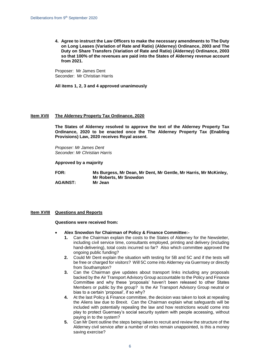**4. Agree to instruct the Law Officers to make the necessary amendments to The Duty on Long Leases (Variation of Rate and Ratio) (Alderney) Ordinance, 2003 and The Duty on Share Transfers (Variation of Rate and Ratio) (Alderney) Ordinance, 2003 so that 100% of the revenues are paid into the States of Alderney revenue account from 2021.**

Proposer: Mr James Dent Seconder: Mr Christian Harris

**All items 1, 2, 3 and 4 approved unanimously**

# **Item XVII The Alderney Property Tax Ordinance, 2020**

**The States of Alderney resolved to approve the text of the Alderney Property Tax Ordinance, 2020 to be enacted once the The Alderney Property Tax (Enabling Provisions) Law, 2020 receives Royal assent.**

*Proposer: Mr James Dent Seconder: Mr Christian Harris*

## **Approved by a majority**

**FOR: Ms Burgess, Mr Dean, Mr Dent, Mr Gentle, Mr Harris, Mr McKinley, Mr Roberts, Mr Snowdon AGAINST: Mr Jean**

# **Item XVIII Questions and Reports**

#### **Questions were received from:**

- **Alex Snowdon for Chairman of Policy & Finance Committee:-**
	- **1.** Can the Chairman explain the costs to the States of Alderney for the Newsletter, including civil service time, consultants employed, printing and delivery (including hand-delivering), total costs incurred so far? Also which committee approved the ongoing public funding?
	- **2.** Could Mr Dent explain the situation with testing for 5B and 5C and if the tests will be free or charged for visitors? Will 5C come into Alderney via Guernsey or directly from Southampton?
	- **3.** Can the Chairman give updates about transport links including any proposals backed by the Air Transport Advisory Group accountable to the Policy and Finance Committee and why these 'proposals' haven't been released to other States Members or public by the group? Is the Air Transport Advisory Group neutral or bias to a certain 'proposal', if so why?
	- **4.** At the last Policy & Finance committee, the decision was taken to look at repealing the Aliens law due to Brexit. Can the Chairman explain what safeguards will be included with potentially repealing the law and how restrictions would come into play to protect Guernsey's social security system with people accessing, without paying in to the system?
	- **5.** Can Mr Dent outline the steps being taken to recruit and review the structure of the Alderney civil service after a number of roles remain unappointed, is this a money saving exercise?